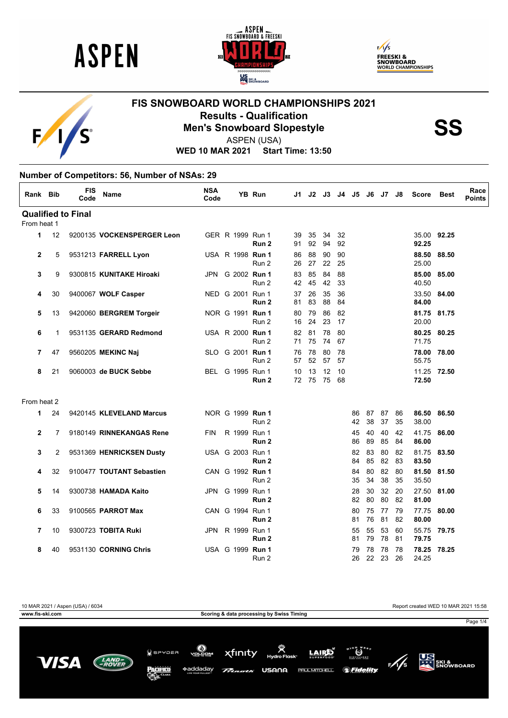





# **FIS SNOWBOARD WORLD CHAMPIONSHIPS 2021 Results - Qualification<br>Men's Snowboard Slopestyle<br>ASPEN (USA)**



ASPEN (USA)

**WED 10 MAR 2021 Start Time: 13:50**

#### **Number of Competitors: 56, Number of NSAs: 29**

| Rank Bib     |    | <b>FIS</b><br>Code        | <b>Name</b>                | <b>NSA</b><br>Code |                         | YB Run           | J1.      | J2       | J3       | J4       | J5       |          | J6 J7    | J8       | <b>Score</b>   | <b>Best</b> | Race<br><b>Points</b> |
|--------------|----|---------------------------|----------------------------|--------------------|-------------------------|------------------|----------|----------|----------|----------|----------|----------|----------|----------|----------------|-------------|-----------------------|
|              |    | <b>Qualified to Final</b> |                            |                    |                         |                  |          |          |          |          |          |          |          |          |                |             |                       |
| From heat 1  |    |                           |                            |                    |                         |                  |          |          |          |          |          |          |          |          |                |             |                       |
| 1            | 12 |                           | 9200135 VOCKENSPERGER Leon |                    | GER R 1999 Run 1        | Run 2            | 39<br>91 | 35<br>92 | 34<br>94 | 32<br>92 |          |          |          |          | 92.25          | 35.00 92.25 |                       |
| $\mathbf{2}$ | 5  |                           | 9531213 FARRELL Lyon       |                    | USA R 1998 Run 1        | Run 2            | 86<br>26 | 88<br>27 | 90<br>22 | 90<br>25 |          |          |          |          | 88.50<br>25.00 | 88.50       |                       |
| 3            | 9  |                           | 9300815 KUNITAKE Hiroaki   | JPN                | G 2002 Run 1            | Run 2            | 83<br>42 | 85<br>45 | 84<br>42 | 88<br>33 |          |          |          |          | 85.00<br>40.50 | 85.00       |                       |
| 4            | 30 |                           | 9400067 WOLF Casper        |                    | NED G 2001 Run 1        | Run 2            | 37<br>81 | 26<br>83 | 35<br>88 | 36<br>84 |          |          |          |          | 84.00          | 33.50 84.00 |                       |
| 5            | 13 |                           | 9420060 BERGREM Torgeir    |                    | NOR G 1991 Run 1        | Run 2            | 80<br>16 | 79<br>24 | 86<br>23 | 82<br>17 |          |          |          |          | 20.00          | 81.75 81.75 |                       |
| 6            | 1  |                           | 9531135 GERARD Redmond     |                    | USA R 2000 <b>Run 1</b> | Run 2            | 82<br>71 | 81<br>75 | 78<br>74 | 80<br>67 |          |          |          |          | 71.75          | 80.25 80.25 |                       |
| 7            | 47 |                           | 9560205 MEKINC Naj         |                    | SLO G 2001 Run 1        | Run 2            | 76<br>57 | 78<br>52 | 80<br>57 | 78<br>57 |          |          |          |          | 78.00<br>55.75 | 78.00       |                       |
| 8            | 21 |                           | 9060003 de BUCK Sebbe      |                    | BEL G 1995 Run 1        | Run 2            | 10<br>72 | 13<br>75 | 12<br>75 | 10<br>68 |          |          |          |          | 72.50          | 11.25 72.50 |                       |
| From heat 2  |    |                           |                            |                    |                         |                  |          |          |          |          |          |          |          |          |                |             |                       |
| 1            | 24 |                           | 9420145 KLEVELAND Marcus   |                    | NOR G 1999 Run 1        | Run 2            |          |          |          |          | 86<br>42 | 87<br>38 | 87<br>37 | 86<br>35 | 38.00          | 86.50 86.50 |                       |
| $\mathbf{2}$ | 7  |                           | 9180149 RINNEKANGAS Rene   | <b>FIN</b>         | R 1999 Run 1            | Run <sub>2</sub> |          |          |          |          | 45<br>86 | 40<br>89 | 40<br>85 | 42<br>84 | 41.75<br>86.00 | 86.00       |                       |
| 3            | 2  |                           | 9531369 HENRICKSEN Dusty   |                    | USA G 2003 Run 1        | Run 2            |          |          |          |          | 82<br>84 | 83<br>85 | 80<br>82 | 82<br>83 | 81.75<br>83.50 | 83.50       |                       |
| 4            | 32 |                           | 9100477 TOUTANT Sebastien  |                    | CAN G 1992 Run 1        | Run 2            |          |          |          |          | 84<br>35 | 80<br>34 | 82<br>38 | 80<br>35 | 81.50<br>35.50 | 81.50       |                       |
| 5            | 14 |                           | 9300738 HAMADA Kaito       | JPN                | G 1999 Run 1            | Run 2            |          |          |          |          | 28<br>82 | 30<br>80 | 32<br>80 | 20<br>82 | 27.50<br>81.00 | 81.00       |                       |
| 6            | 33 |                           | 9100565 PARROT Max         |                    | CAN G 1994 Run 1        | Run 2            |          |          |          |          | 80<br>81 | 75<br>76 | 77<br>81 | 79<br>82 | 77.75<br>80.00 | 80.00       |                       |
| 7            | 10 |                           | 9300723 TOBITA Ruki        | <b>JPN</b>         | R 1999 Run 1            | Run 2            |          |          |          |          | 55<br>81 | 55<br>79 | 53<br>78 | 60<br>81 | 55.75<br>79.75 | 79.75       |                       |
| 8            | 40 |                           | 9531130 CORNING Chris      |                    | USA G 1999 Run 1        | Run 2            |          |          |          |          | 79<br>26 | 78<br>22 | 78<br>23 | 78<br>26 | 78.25<br>24.25 | 78.25       |                       |

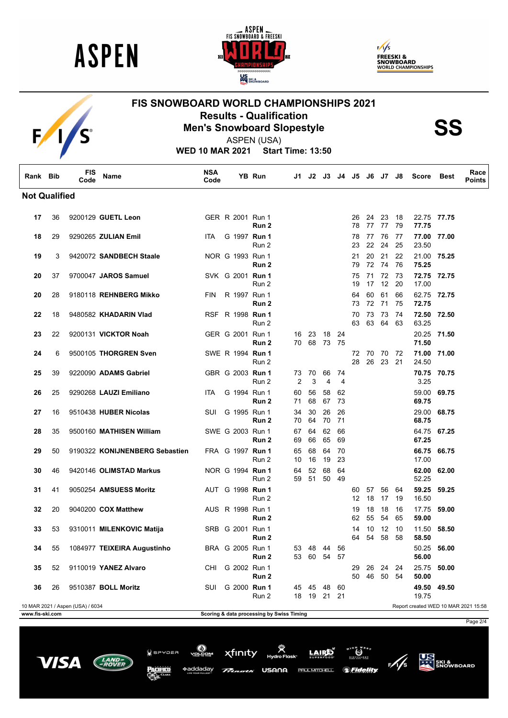

 $F/I/S$ 





## **FIS SNOWBOARD WORLD CHAMPIONSHIPS 2021 Results - Qualification<br>Men's Snowboard Slopestyle<br>ASPEN (USA)**





ASPEN (USA)

**WED 10 MAR 2021 Start Time: 13:50**

| Rank Bib             |    | <b>FIS</b><br>Code               | Name                           | <b>NSA</b><br>Code |                         | YB Run                                    | J1.                  | J2       | J3.            | J4        | J5       |          | J6 J7       | J8         | <b>Score</b>   | <b>Best</b> | Race<br><b>Points</b>                |
|----------------------|----|----------------------------------|--------------------------------|--------------------|-------------------------|-------------------------------------------|----------------------|----------|----------------|-----------|----------|----------|-------------|------------|----------------|-------------|--------------------------------------|
| <b>Not Qualified</b> |    |                                  |                                |                    |                         |                                           |                      |          |                |           |          |          |             |            |                |             |                                      |
| 17                   | 36 |                                  | 9200129 GUETL Leon             |                    | GER R 2001 Run 1        | Run 2                                     |                      |          |                |           | 26<br>78 | 24<br>77 | 23<br>77    | 18<br>79   | 77.75          | 22.75 77.75 |                                      |
| 18                   | 29 |                                  | 9290265 ZULIAN Emil            | <b>ITA</b>         | G 1997 Run 1            | Run 2                                     |                      |          |                |           | 78<br>23 | 77<br>22 | 76<br>24    | 77<br>25   | 77.00<br>23.50 | 77.00       |                                      |
| 19                   | 3  |                                  | 9420072 SANDBECH Staale        |                    | NOR G 1993 Run 1        | Run 2                                     |                      |          |                |           | 21<br>79 | 20<br>72 | 21<br>74    | 22<br>76   | 21.00<br>75.25 | 75.25       |                                      |
| 20                   | 37 |                                  | 9700047 JAROS Samuel           |                    | SVK G 2001 Run 1        | Run 2                                     |                      |          |                |           | 75<br>19 | 71<br>17 | 72<br>12    | 73<br>20   | 17.00          | 72.75 72.75 |                                      |
| 20                   | 28 |                                  | 9180118 REHNBERG Mikko         | FIN.               | R 1997 Run 1            | Run 2                                     |                      |          |                |           | 64<br>73 | 60<br>72 | 61<br>71    | 66<br>75   | 72.75          | 62.75 72.75 |                                      |
| 22                   | 18 |                                  | 9480582 KHADARIN Vlad          |                    | RSF R 1998 <b>Run 1</b> | Run 2                                     |                      |          |                |           | 70<br>63 | 73<br>63 | 73<br>64    | 74<br>63   | 72.50<br>63.25 | 72.50       |                                      |
| 23                   | 22 |                                  | 9200131 VICKTOR Noah           |                    | GER G 2001 Run 1        | Run 2                                     | 16<br>70             | 23<br>68 | 18<br>73       | 24<br>-75 |          |          |             |            | 20.25<br>71.50 | 71.50       |                                      |
| 24                   | 6  |                                  | 9500105 THORGREN Sven          |                    | SWE R 1994 Run 1        | Run 2                                     |                      |          |                |           | 72<br>28 | 70<br>26 | 70<br>23    | -72<br>-21 | 71.00<br>24.50 | 71.00       |                                      |
| 25                   | 39 |                                  | 9220090 ADAMS Gabriel          |                    | GBR G 2003 Run 1        | Run 2                                     | 73<br>$\overline{2}$ | 70<br>3  | 66<br>4        | 74<br>4   |          |          |             |            | 3.25           | 70.75 70.75 |                                      |
| 26                   | 25 |                                  | 9290268 LAUZI Emiliano         | <b>ITA</b>         | G 1994 Run 1            | Run 2                                     | 60<br>71             | 56<br>68 | 58<br>67       | 62<br>73  |          |          |             |            | 59.00<br>69.75 | 69.75       |                                      |
| 27                   | 16 |                                  | 9510438 HUBER Nicolas          | <b>SUI</b>         | G 1995 Run 1            | Run 2                                     | 34<br>70             | 30<br>64 | 26<br>70       | 26<br>71  |          |          |             |            | 29.00<br>68.75 | 68.75       |                                      |
| 28                   | 35 |                                  | 9500160 MATHISEN William       |                    | SWE G 2003 Run 1        | Run 2                                     | 67<br>69             | 64<br>66 | 62<br>65       | 66<br>69  |          |          |             |            | 67.25          | 64.75 67.25 |                                      |
| 29                   | 50 |                                  | 9190322 KONIJNENBERG Sebastien |                    | FRA G 1997 <b>Run 1</b> | Run 2                                     | 65<br>10             | 68<br>16 | 64<br>19       | 70<br>23  |          |          |             |            | 66.75<br>17.00 | 66.75       |                                      |
| 30                   | 46 |                                  | 9420146 OLIMSTAD Markus        |                    | NOR G 1994 <b>Run 1</b> | Run 2                                     | 64<br>59             | 52<br>51 | 68<br>50       | 64<br>49  |          |          |             |            | 62.00<br>52.25 | 62.00       |                                      |
| 31                   | 41 |                                  | 9050254 AMSUESS Moritz         |                    | AUT G 1998 <b>Run 1</b> | Run 2                                     |                      |          |                |           | 60<br>12 | 57<br>18 | 56<br>17    | 64<br>19   | 59.25<br>16.50 | 59.25       |                                      |
| 32                   | 20 |                                  | 9040200 COX Matthew            |                    | AUS R 1998 Run 1        | Run 2                                     |                      |          |                |           | 19<br>62 | 18<br>55 | 18<br>54    | 16<br>65   | 17.75<br>59.00 | 59.00       |                                      |
| 33                   | 53 |                                  | 9310011 MILENKOVIC Matija      |                    | SRB G 2001 Run 1        | Run 2                                     |                      |          |                |           | 14<br>64 | 10<br>54 | 12<br>58    | 10<br>58   | 11.50<br>58.50 | 58.50       |                                      |
| 34                   | 55 |                                  | 1084977 TEIXEIRA Augustinho    |                    | BRA G 2005 Run 1        | Run 2                                     | 53                   | 48       | 44<br>53 60 54 | 56<br>57  |          |          |             |            | 50.25<br>56.00 | 56.00       |                                      |
| 35                   | 52 |                                  | 9110019 YANEZ Alvaro           | CHI                | G 2002 Run 1            | Run 2                                     |                      |          |                |           | 29<br>50 | 26<br>46 | 24<br>50 54 | 24         | 25.75<br>50.00 | 50.00       |                                      |
| 36                   | 26 |                                  | 9510387 BOLL Moritz            | SUI                | G 2000 Run 1            | Run 2                                     |                      | 45 45 48 | 18  19  21  21 | 60        |          |          |             |            | 49.50<br>19.75 | 49.50       |                                      |
| www.fis-ski.com      |    | 10 MAR 2021 / Aspen (USA) / 6034 |                                |                    |                         | Scoring & data processing by Swiss Timing |                      |          |                |           |          |          |             |            |                |             | Report created WED 10 MAR 2021 15:58 |



**US**<br>ATT SKI &<br>SNOWBOARD

 $\frac{1}{2}$ 

*Seidelity* 





**LAIRE** 

**PAUL MITCHELL**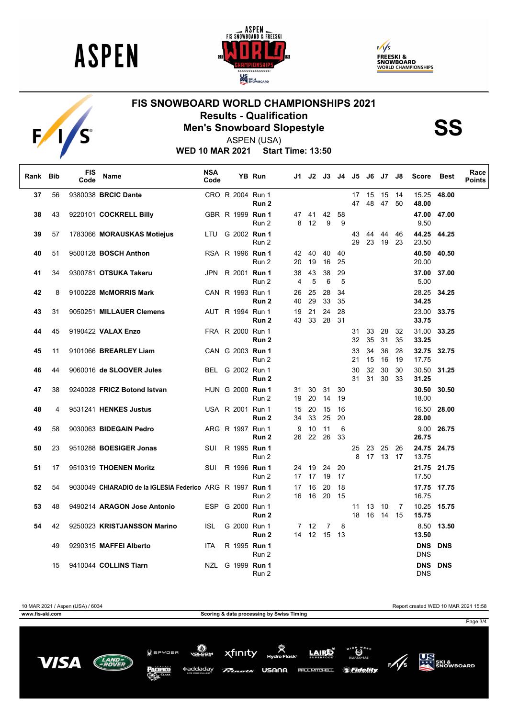

 $F/I/S$ 





## **FIS SNOWBOARD WORLD CHAMPIONSHIPS 2021 Results - Qualification<br>Men's Snowboard Slopestyle<br>ASPEN (USA)**

ASPEN (USA)

**WED 10 MAR 2021 Start Time: 13:50**

| Rank Bib |          | <b>FIS</b><br>Code | Name                                                      | <b>NSA</b><br>Code |                                      | YB Run           | J1.      |              | J2 J3 J4 |          | J5             |                | J6 J7          | J8             | <b>Score</b>             | Best                       | Race<br><b>Points</b> |
|----------|----------|--------------------|-----------------------------------------------------------|--------------------|--------------------------------------|------------------|----------|--------------|----------|----------|----------------|----------------|----------------|----------------|--------------------------|----------------------------|-----------------------|
| 37       | 56       |                    | 9380038 BRCIC Dante                                       |                    | CRO R 2004 Run 1                     | Run 2            |          |              |          |          | 17<br>47       | 15<br>48       | 15<br>-47      | 14<br>50       | 15.25<br>48.00           | 48.00                      |                       |
| 38       | 43       |                    | 9220101 COCKRELL Billy                                    |                    | GBR R 1999 Run 1                     | Run 2            | 47<br>8  | 41<br>12     | 42<br>9  | 58<br>9  |                |                |                |                | 9.50                     | 47.00 47.00                |                       |
| 39       | 57       |                    | 1783066 MORAUSKAS Motiejus                                | LTU                | G 2002 Run 1                         | Run 2            |          |              |          |          | 43<br>29       | 44<br>23       | 44<br>19       | 46<br>23       | 23.50                    | 44.25 44.25                |                       |
| 40       | 51       |                    | 9500128 BOSCH Anthon                                      |                    | RSA R 1996 Run 1                     | Run 2            | 42<br>20 | 40<br>19     | 40<br>16 | 40<br>25 |                |                |                |                | 40.50<br>20.00           | 40.50                      |                       |
| 41       | 34       |                    | 9300781 OTSUKA Takeru                                     |                    | JPN R 2001 <b>Run 1</b>              | Run 2            | 38<br>4  | 43<br>5      | 38<br>6  | 29<br>5  |                |                |                |                | 37.00<br>5.00            | 37.00                      |                       |
| 42       | 8        |                    | 9100228 McMORRIS Mark                                     |                    | CAN R 1993 Run 1                     | Run 2            | 26<br>40 | 25<br>29     | 28<br>33 | 34<br>35 |                |                |                |                | 28.25<br>34.25           | 34.25                      |                       |
| 43       | 31       |                    | 9050251 MILLAUER Clemens                                  |                    | AUT R 1994 Run 1                     | Run 2            | 19<br>43 | 21<br>33     | 24<br>28 | 28<br>31 |                |                |                |                | 33.75                    | 23.00 33.75                |                       |
| 44       | 45       |                    | 9190422 VALAX Enzo                                        |                    | FRA R 2000 Run 1                     | Run 2            |          |              |          |          | 31<br>32       | 33<br>35       | 28<br>31       | 32<br>35       | 31.00<br>33.25           | 33.25                      |                       |
| 45<br>46 | 11<br>44 |                    | 9101066 BREARLEY Liam<br>9060016 de SLOOVER Jules         |                    | CAN G 2003 Run 1<br>BEL G 2002 Run 1 | Run 2            |          |              |          |          | 33<br>21<br>30 | 34<br>15<br>32 | 36<br>16<br>30 | 28<br>19<br>30 | 17.75                    | 32.75 32.75<br>30.50 31.25 |                       |
| 47       | 38       |                    | 9240028 FRICZ Botond Istvan                               |                    | HUN G 2000 Run 1                     | Run 2            | 31       | 30           | 31       | 30       | 31             | 31             | 30             | 33             | 31.25<br>30.50           | 30.50                      |                       |
| 48       | 4        |                    | 9531241 HENKES Justus                                     |                    | USA R 2001 Run 1                     | Run 2            | 19<br>15 | 20<br>20     | 14<br>15 | 19<br>16 |                |                |                |                | 18.00<br>16.50           | 28.00                      |                       |
| 49       | 58       |                    | 9030063 BIDEGAIN Pedro                                    |                    | ARG R 1997 Run 1                     | Run <sub>2</sub> | 34<br>9  | 33<br>10     | 25<br>11 | 20<br>6  |                |                |                |                | 28.00<br>9.00            | 26.75                      |                       |
| 50       | 23       |                    | 9510288 BOESIGER Jonas                                    | SUI                | R 1995 Run 1                         | Run 2            |          | 26 22        | 26       | 33       | 25             | 23             | 25             | 26             | 26.75                    | 24.75 24.75                |                       |
| 51       | 17       |                    | 9510319 THOENEN Moritz                                    | SUI                | R 1996 Run 1                         | Run 2            | 24       | 19           | 24       | 20       | 8              |                | 17 13 17       |                | 13.75                    | 21.75 21.75                |                       |
| 52       | 54       |                    | 9030049 CHIARADIO de la IGLESIA Federico ARG R 1997 Run 1 |                    |                                      | Run 2            | 17<br>17 | 17<br>16     | 19<br>20 | 17<br>18 |                |                |                |                | 17.50                    | 17.75 17.75                |                       |
| 53       | 48       |                    | 9490214 ARAGON Jose Antonio                               | <b>ESP</b>         | G 2000 Run 1                         | Run 2            | 16       | 16           | 20       | 15       | 11             | 13             | 10             | -7             | 16.75                    | 10.25 15.75                |                       |
| 54       | 42       |                    | 9250023 KRISTJANSSON Marino                               | <b>ISL</b>         | G 2000 Run 1                         | Run 2            |          | $7 \quad 12$ | 7        | 8        | 18             | 16             | 14 15          |                | 15.75<br>8.50            | 13.50                      |                       |
|          | 49       |                    | 9290315 MAFFEI Alberto                                    | <b>ITA</b>         | R 1995 Run 1                         | Run 2            | 14       |              | 12 15    | 13       |                |                |                |                | 13.50<br><b>DNS DNS</b>  |                            |                       |
|          | 15       |                    | 9410044 COLLINS Tiarn                                     | NZL                | G 1999 Run 1                         | Run 2            |          |              |          |          |                |                |                |                | <b>DNS</b><br><b>DNS</b> | <b>DNS</b>                 |                       |
|          |          |                    |                                                           |                    |                                      | Run 2            |          |              |          |          |                |                |                |                | <b>DNS</b>               |                            |                       |